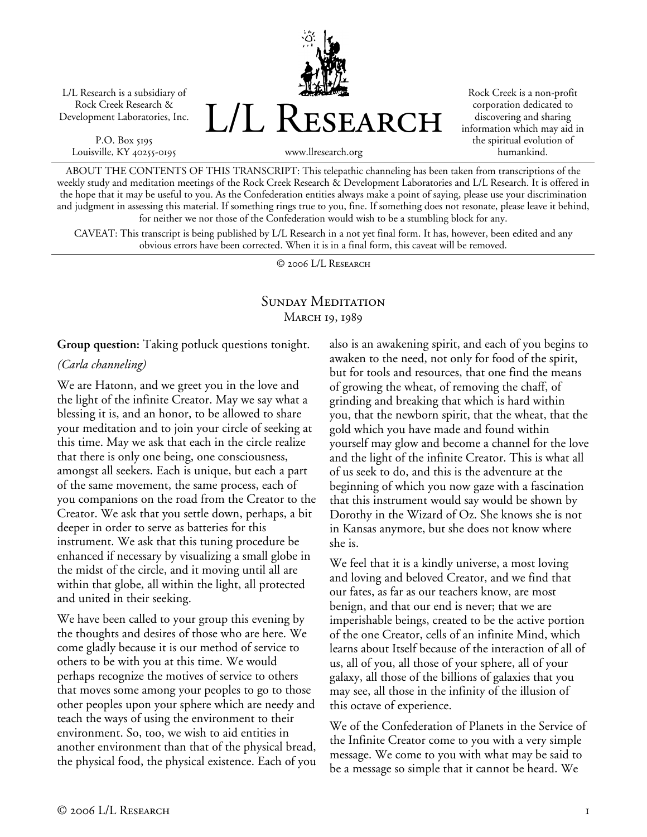L/L Research is a subsidiary of Rock Creek Research & Development Laboratories, Inc.

P.O. Box 5195 Louisville, KY 40255-0195 L/L Research

Rock Creek is a non-profit corporation dedicated to discovering and sharing information which may aid in the spiritual evolution of humankind.

www.llresearch.org

ABOUT THE CONTENTS OF THIS TRANSCRIPT: This telepathic channeling has been taken from transcriptions of the weekly study and meditation meetings of the Rock Creek Research & Development Laboratories and L/L Research. It is offered in the hope that it may be useful to you. As the Confederation entities always make a point of saying, please use your discrimination and judgment in assessing this material. If something rings true to you, fine. If something does not resonate, please leave it behind, for neither we nor those of the Confederation would wish to be a stumbling block for any.

CAVEAT: This transcript is being published by L/L Research in a not yet final form. It has, however, been edited and any obvious errors have been corrected. When it is in a final form, this caveat will be removed.

© 2006 L/L Research

### SUNDAY MEDITATION MARCH 19, 1989

**Group question:** Taking potluck questions tonight.

### *(Carla channeling)*

We are Hatonn, and we greet you in the love and the light of the infinite Creator. May we say what a blessing it is, and an honor, to be allowed to share your meditation and to join your circle of seeking at this time. May we ask that each in the circle realize that there is only one being, one consciousness, amongst all seekers. Each is unique, but each a part of the same movement, the same process, each of you companions on the road from the Creator to the Creator. We ask that you settle down, perhaps, a bit deeper in order to serve as batteries for this instrument. We ask that this tuning procedure be enhanced if necessary by visualizing a small globe in the midst of the circle, and it moving until all are within that globe, all within the light, all protected and united in their seeking.

We have been called to your group this evening by the thoughts and desires of those who are here. We come gladly because it is our method of service to others to be with you at this time. We would perhaps recognize the motives of service to others that moves some among your peoples to go to those other peoples upon your sphere which are needy and teach the ways of using the environment to their environment. So, too, we wish to aid entities in another environment than that of the physical bread, the physical food, the physical existence. Each of you also is an awakening spirit, and each of you begins to awaken to the need, not only for food of the spirit, but for tools and resources, that one find the means of growing the wheat, of removing the chaff, of grinding and breaking that which is hard within you, that the newborn spirit, that the wheat, that the gold which you have made and found within yourself may glow and become a channel for the love and the light of the infinite Creator. This is what all of us seek to do, and this is the adventure at the beginning of which you now gaze with a fascination that this instrument would say would be shown by Dorothy in the Wizard of Oz. She knows she is not in Kansas anymore, but she does not know where she is.

We feel that it is a kindly universe, a most loving and loving and beloved Creator, and we find that our fates, as far as our teachers know, are most benign, and that our end is never; that we are imperishable beings, created to be the active portion of the one Creator, cells of an infinite Mind, which learns about Itself because of the interaction of all of us, all of you, all those of your sphere, all of your galaxy, all those of the billions of galaxies that you may see, all those in the infinity of the illusion of this octave of experience.

We of the Confederation of Planets in the Service of the Infinite Creator come to you with a very simple message. We come to you with what may be said to be a message so simple that it cannot be heard. We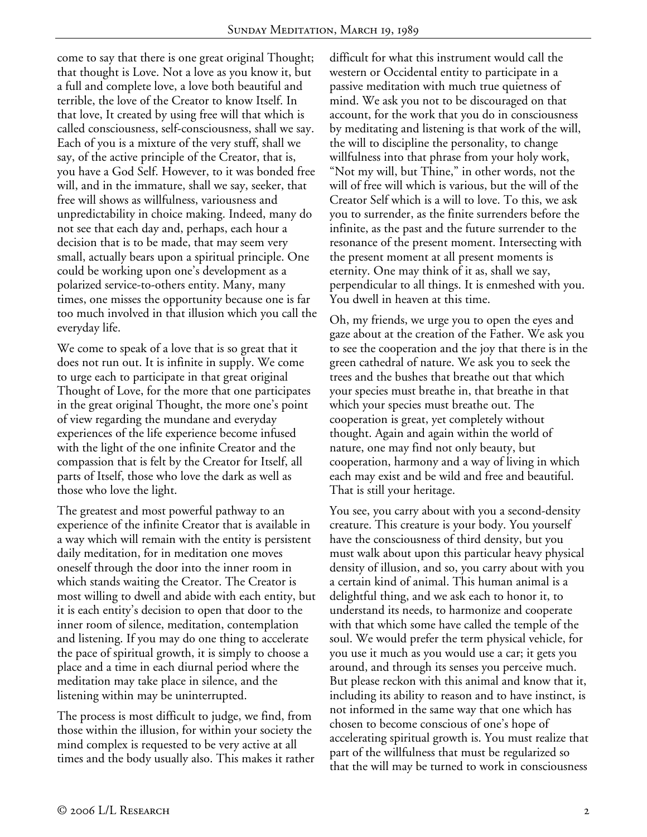come to say that there is one great original Thought; that thought is Love. Not a love as you know it, but a full and complete love, a love both beautiful and terrible, the love of the Creator to know Itself. In that love, It created by using free will that which is called consciousness, self-consciousness, shall we say. Each of you is a mixture of the very stuff, shall we say, of the active principle of the Creator, that is, you have a God Self. However, to it was bonded free will, and in the immature, shall we say, seeker, that free will shows as willfulness, variousness and unpredictability in choice making. Indeed, many do not see that each day and, perhaps, each hour a decision that is to be made, that may seem very small, actually bears upon a spiritual principle. One could be working upon one's development as a polarized service-to-others entity. Many, many times, one misses the opportunity because one is far too much involved in that illusion which you call the everyday life.

We come to speak of a love that is so great that it does not run out. It is infinite in supply. We come to urge each to participate in that great original Thought of Love, for the more that one participates in the great original Thought, the more one's point of view regarding the mundane and everyday experiences of the life experience become infused with the light of the one infinite Creator and the compassion that is felt by the Creator for Itself, all parts of Itself, those who love the dark as well as those who love the light.

The greatest and most powerful pathway to an experience of the infinite Creator that is available in a way which will remain with the entity is persistent daily meditation, for in meditation one moves oneself through the door into the inner room in which stands waiting the Creator. The Creator is most willing to dwell and abide with each entity, but it is each entity's decision to open that door to the inner room of silence, meditation, contemplation and listening. If you may do one thing to accelerate the pace of spiritual growth, it is simply to choose a place and a time in each diurnal period where the meditation may take place in silence, and the listening within may be uninterrupted.

The process is most difficult to judge, we find, from those within the illusion, for within your society the mind complex is requested to be very active at all times and the body usually also. This makes it rather difficult for what this instrument would call the western or Occidental entity to participate in a passive meditation with much true quietness of mind. We ask you not to be discouraged on that account, for the work that you do in consciousness by meditating and listening is that work of the will, the will to discipline the personality, to change willfulness into that phrase from your holy work, "Not my will, but Thine," in other words, not the will of free will which is various, but the will of the Creator Self which is a will to love. To this, we ask you to surrender, as the finite surrenders before the infinite, as the past and the future surrender to the resonance of the present moment. Intersecting with the present moment at all present moments is eternity. One may think of it as, shall we say, perpendicular to all things. It is enmeshed with you. You dwell in heaven at this time.

Oh, my friends, we urge you to open the eyes and gaze about at the creation of the Father. We ask you to see the cooperation and the joy that there is in the green cathedral of nature. We ask you to seek the trees and the bushes that breathe out that which your species must breathe in, that breathe in that which your species must breathe out. The cooperation is great, yet completely without thought. Again and again within the world of nature, one may find not only beauty, but cooperation, harmony and a way of living in which each may exist and be wild and free and beautiful. That is still your heritage.

You see, you carry about with you a second-density creature. This creature is your body. You yourself have the consciousness of third density, but you must walk about upon this particular heavy physical density of illusion, and so, you carry about with you a certain kind of animal. This human animal is a delightful thing, and we ask each to honor it, to understand its needs, to harmonize and cooperate with that which some have called the temple of the soul. We would prefer the term physical vehicle, for you use it much as you would use a car; it gets you around, and through its senses you perceive much. But please reckon with this animal and know that it, including its ability to reason and to have instinct, is not informed in the same way that one which has chosen to become conscious of one's hope of accelerating spiritual growth is. You must realize that part of the willfulness that must be regularized so that the will may be turned to work in consciousness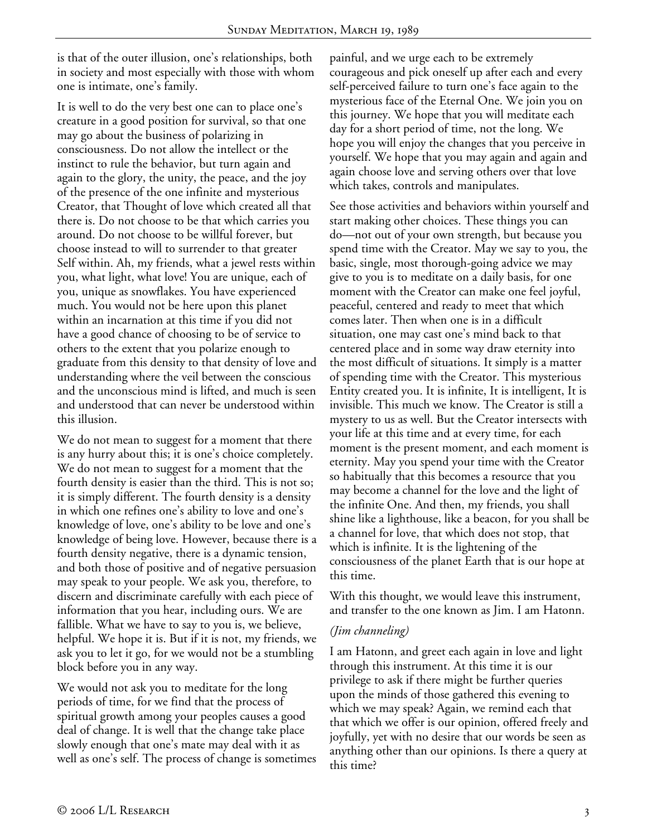is that of the outer illusion, one's relationships, both in society and most especially with those with whom one is intimate, one's family.

It is well to do the very best one can to place one's creature in a good position for survival, so that one may go about the business of polarizing in consciousness. Do not allow the intellect or the instinct to rule the behavior, but turn again and again to the glory, the unity, the peace, and the joy of the presence of the one infinite and mysterious Creator, that Thought of love which created all that there is. Do not choose to be that which carries you around. Do not choose to be willful forever, but choose instead to will to surrender to that greater Self within. Ah, my friends, what a jewel rests within you, what light, what love! You are unique, each of you, unique as snowflakes. You have experienced much. You would not be here upon this planet within an incarnation at this time if you did not have a good chance of choosing to be of service to others to the extent that you polarize enough to graduate from this density to that density of love and understanding where the veil between the conscious and the unconscious mind is lifted, and much is seen and understood that can never be understood within this illusion.

We do not mean to suggest for a moment that there is any hurry about this; it is one's choice completely. We do not mean to suggest for a moment that the fourth density is easier than the third. This is not so; it is simply different. The fourth density is a density in which one refines one's ability to love and one's knowledge of love, one's ability to be love and one's knowledge of being love. However, because there is a fourth density negative, there is a dynamic tension, and both those of positive and of negative persuasion may speak to your people. We ask you, therefore, to discern and discriminate carefully with each piece of information that you hear, including ours. We are fallible. What we have to say to you is, we believe, helpful. We hope it is. But if it is not, my friends, we ask you to let it go, for we would not be a stumbling block before you in any way.

We would not ask you to meditate for the long periods of time, for we find that the process of spiritual growth among your peoples causes a good deal of change. It is well that the change take place slowly enough that one's mate may deal with it as well as one's self. The process of change is sometimes painful, and we urge each to be extremely courageous and pick oneself up after each and every self-perceived failure to turn one's face again to the mysterious face of the Eternal One. We join you on this journey. We hope that you will meditate each day for a short period of time, not the long. We hope you will enjoy the changes that you perceive in yourself. We hope that you may again and again and again choose love and serving others over that love which takes, controls and manipulates.

See those activities and behaviors within yourself and start making other choices. These things you can do—not out of your own strength, but because you spend time with the Creator. May we say to you, the basic, single, most thorough-going advice we may give to you is to meditate on a daily basis, for one moment with the Creator can make one feel joyful, peaceful, centered and ready to meet that which comes later. Then when one is in a difficult situation, one may cast one's mind back to that centered place and in some way draw eternity into the most difficult of situations. It simply is a matter of spending time with the Creator. This mysterious Entity created you. It is infinite, It is intelligent, It is invisible. This much we know. The Creator is still a mystery to us as well. But the Creator intersects with your life at this time and at every time, for each moment is the present moment, and each moment is eternity. May you spend your time with the Creator so habitually that this becomes a resource that you may become a channel for the love and the light of the infinite One. And then, my friends, you shall shine like a lighthouse, like a beacon, for you shall be a channel for love, that which does not stop, that which is infinite. It is the lightening of the consciousness of the planet Earth that is our hope at this time.

With this thought, we would leave this instrument, and transfer to the one known as Jim. I am Hatonn.

### *(Jim channeling)*

I am Hatonn, and greet each again in love and light through this instrument. At this time it is our privilege to ask if there might be further queries upon the minds of those gathered this evening to which we may speak? Again, we remind each that that which we offer is our opinion, offered freely and joyfully, yet with no desire that our words be seen as anything other than our opinions. Is there a query at this time?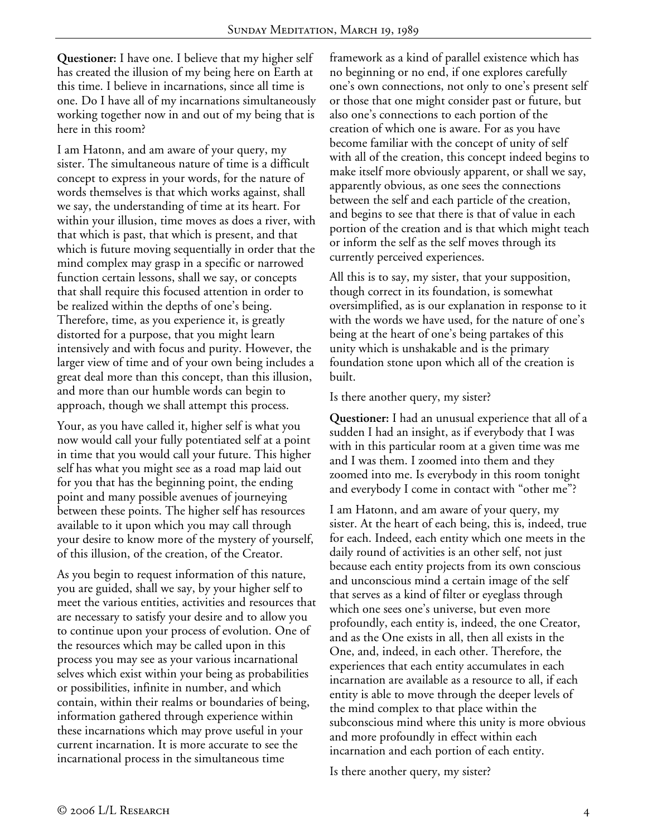**Questioner:** I have one. I believe that my higher self has created the illusion of my being here on Earth at this time. I believe in incarnations, since all time is one. Do I have all of my incarnations simultaneously working together now in and out of my being that is here in this room?

I am Hatonn, and am aware of your query, my sister. The simultaneous nature of time is a difficult concept to express in your words, for the nature of words themselves is that which works against, shall we say, the understanding of time at its heart. For within your illusion, time moves as does a river, with that which is past, that which is present, and that which is future moving sequentially in order that the mind complex may grasp in a specific or narrowed function certain lessons, shall we say, or concepts that shall require this focused attention in order to be realized within the depths of one's being. Therefore, time, as you experience it, is greatly distorted for a purpose, that you might learn intensively and with focus and purity. However, the larger view of time and of your own being includes a great deal more than this concept, than this illusion, and more than our humble words can begin to approach, though we shall attempt this process.

Your, as you have called it, higher self is what you now would call your fully potentiated self at a point in time that you would call your future. This higher self has what you might see as a road map laid out for you that has the beginning point, the ending point and many possible avenues of journeying between these points. The higher self has resources available to it upon which you may call through your desire to know more of the mystery of yourself, of this illusion, of the creation, of the Creator.

As you begin to request information of this nature, you are guided, shall we say, by your higher self to meet the various entities, activities and resources that are necessary to satisfy your desire and to allow you to continue upon your process of evolution. One of the resources which may be called upon in this process you may see as your various incarnational selves which exist within your being as probabilities or possibilities, infinite in number, and which contain, within their realms or boundaries of being, information gathered through experience within these incarnations which may prove useful in your current incarnation. It is more accurate to see the incarnational process in the simultaneous time

framework as a kind of parallel existence which has no beginning or no end, if one explores carefully one's own connections, not only to one's present self or those that one might consider past or future, but also one's connections to each portion of the creation of which one is aware. For as you have become familiar with the concept of unity of self with all of the creation, this concept indeed begins to make itself more obviously apparent, or shall we say, apparently obvious, as one sees the connections between the self and each particle of the creation, and begins to see that there is that of value in each portion of the creation and is that which might teach or inform the self as the self moves through its currently perceived experiences.

All this is to say, my sister, that your supposition, though correct in its foundation, is somewhat oversimplified, as is our explanation in response to it with the words we have used, for the nature of one's being at the heart of one's being partakes of this unity which is unshakable and is the primary foundation stone upon which all of the creation is built.

Is there another query, my sister?

**Questioner:** I had an unusual experience that all of a sudden I had an insight, as if everybody that I was with in this particular room at a given time was me and I was them. I zoomed into them and they zoomed into me. Is everybody in this room tonight and everybody I come in contact with "other me"?

I am Hatonn, and am aware of your query, my sister. At the heart of each being, this is, indeed, true for each. Indeed, each entity which one meets in the daily round of activities is an other self, not just because each entity projects from its own conscious and unconscious mind a certain image of the self that serves as a kind of filter or eyeglass through which one sees one's universe, but even more profoundly, each entity is, indeed, the one Creator, and as the One exists in all, then all exists in the One, and, indeed, in each other. Therefore, the experiences that each entity accumulates in each incarnation are available as a resource to all, if each entity is able to move through the deeper levels of the mind complex to that place within the subconscious mind where this unity is more obvious and more profoundly in effect within each incarnation and each portion of each entity.

Is there another query, my sister?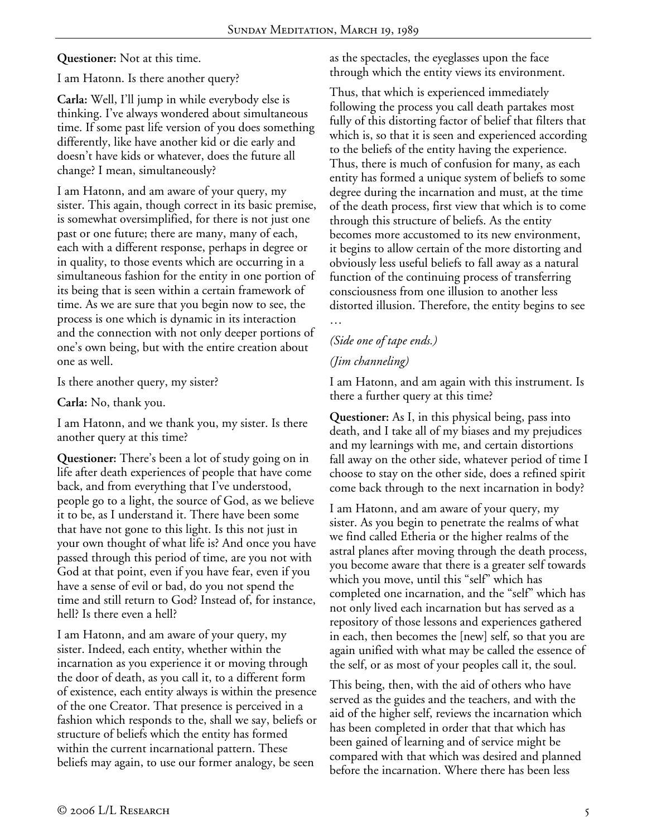**Questioner:** Not at this time.

I am Hatonn. Is there another query?

**Carla:** Well, I'll jump in while everybody else is thinking. I've always wondered about simultaneous time. If some past life version of you does something differently, like have another kid or die early and doesn't have kids or whatever, does the future all change? I mean, simultaneously?

I am Hatonn, and am aware of your query, my sister. This again, though correct in its basic premise, is somewhat oversimplified, for there is not just one past or one future; there are many, many of each, each with a different response, perhaps in degree or in quality, to those events which are occurring in a simultaneous fashion for the entity in one portion of its being that is seen within a certain framework of time. As we are sure that you begin now to see, the process is one which is dynamic in its interaction and the connection with not only deeper portions of one's own being, but with the entire creation about one as well.

Is there another query, my sister?

**Carla:** No, thank you.

I am Hatonn, and we thank you, my sister. Is there another query at this time?

**Questioner:** There's been a lot of study going on in life after death experiences of people that have come back, and from everything that I've understood, people go to a light, the source of God, as we believe it to be, as I understand it. There have been some that have not gone to this light. Is this not just in your own thought of what life is? And once you have passed through this period of time, are you not with God at that point, even if you have fear, even if you have a sense of evil or bad, do you not spend the time and still return to God? Instead of, for instance, hell? Is there even a hell?

I am Hatonn, and am aware of your query, my sister. Indeed, each entity, whether within the incarnation as you experience it or moving through the door of death, as you call it, to a different form of existence, each entity always is within the presence of the one Creator. That presence is perceived in a fashion which responds to the, shall we say, beliefs or structure of beliefs which the entity has formed within the current incarnational pattern. These beliefs may again, to use our former analogy, be seen

as the spectacles, the eyeglasses upon the face through which the entity views its environment.

Thus, that which is experienced immediately following the process you call death partakes most fully of this distorting factor of belief that filters that which is, so that it is seen and experienced according to the beliefs of the entity having the experience. Thus, there is much of confusion for many, as each entity has formed a unique system of beliefs to some degree during the incarnation and must, at the time of the death process, first view that which is to come through this structure of beliefs. As the entity becomes more accustomed to its new environment, it begins to allow certain of the more distorting and obviously less useful beliefs to fall away as a natural function of the continuing process of transferring consciousness from one illusion to another less distorted illusion. Therefore, the entity begins to see …

# *(Side one of tape ends.)*

## *(Jim channeling)*

I am Hatonn, and am again with this instrument. Is there a further query at this time?

**Questioner:** As I, in this physical being, pass into death, and I take all of my biases and my prejudices and my learnings with me, and certain distortions fall away on the other side, whatever period of time I choose to stay on the other side, does a refined spirit come back through to the next incarnation in body?

I am Hatonn, and am aware of your query, my sister. As you begin to penetrate the realms of what we find called Etheria or the higher realms of the astral planes after moving through the death process, you become aware that there is a greater self towards which you move, until this "self" which has completed one incarnation, and the "self" which has not only lived each incarnation but has served as a repository of those lessons and experiences gathered in each, then becomes the [new] self, so that you are again unified with what may be called the essence of the self, or as most of your peoples call it, the soul.

This being, then, with the aid of others who have served as the guides and the teachers, and with the aid of the higher self, reviews the incarnation which has been completed in order that that which has been gained of learning and of service might be compared with that which was desired and planned before the incarnation. Where there has been less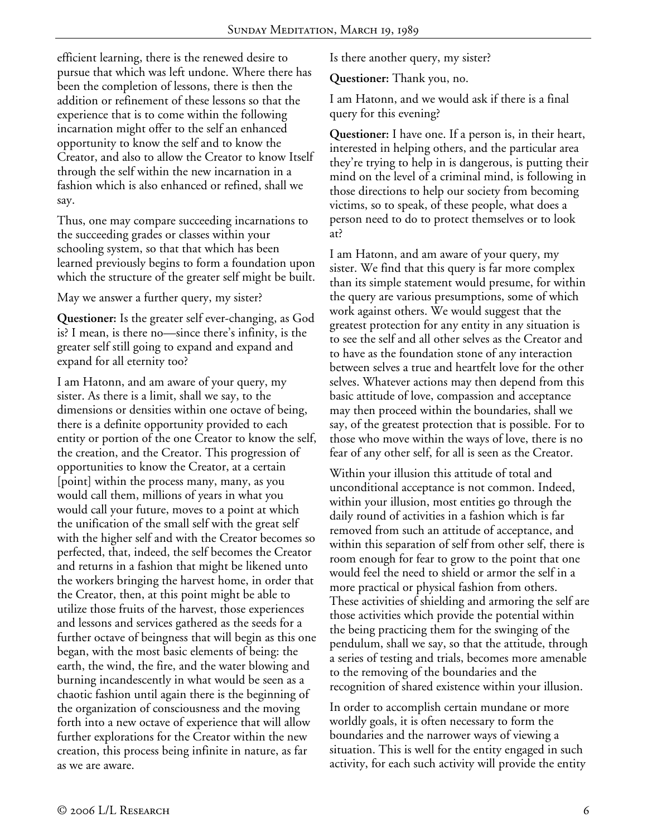efficient learning, there is the renewed desire to pursue that which was left undone. Where there has been the completion of lessons, there is then the addition or refinement of these lessons so that the experience that is to come within the following incarnation might offer to the self an enhanced opportunity to know the self and to know the Creator, and also to allow the Creator to know Itself through the self within the new incarnation in a fashion which is also enhanced or refined, shall we say.

Thus, one may compare succeeding incarnations to the succeeding grades or classes within your schooling system, so that that which has been learned previously begins to form a foundation upon which the structure of the greater self might be built.

May we answer a further query, my sister?

**Questioner:** Is the greater self ever-changing, as God is? I mean, is there no—since there's infinity, is the greater self still going to expand and expand and expand for all eternity too?

I am Hatonn, and am aware of your query, my sister. As there is a limit, shall we say, to the dimensions or densities within one octave of being, there is a definite opportunity provided to each entity or portion of the one Creator to know the self, the creation, and the Creator. This progression of opportunities to know the Creator, at a certain [point] within the process many, many, as you would call them, millions of years in what you would call your future, moves to a point at which the unification of the small self with the great self with the higher self and with the Creator becomes so perfected, that, indeed, the self becomes the Creator and returns in a fashion that might be likened unto the workers bringing the harvest home, in order that the Creator, then, at this point might be able to utilize those fruits of the harvest, those experiences and lessons and services gathered as the seeds for a further octave of beingness that will begin as this one began, with the most basic elements of being: the earth, the wind, the fire, and the water blowing and burning incandescently in what would be seen as a chaotic fashion until again there is the beginning of the organization of consciousness and the moving forth into a new octave of experience that will allow further explorations for the Creator within the new creation, this process being infinite in nature, as far as we are aware.

Is there another query, my sister?

**Questioner:** Thank you, no.

I am Hatonn, and we would ask if there is a final query for this evening?

**Questioner:** I have one. If a person is, in their heart, interested in helping others, and the particular area they're trying to help in is dangerous, is putting their mind on the level of a criminal mind, is following in those directions to help our society from becoming victims, so to speak, of these people, what does a person need to do to protect themselves or to look at?

I am Hatonn, and am aware of your query, my sister. We find that this query is far more complex than its simple statement would presume, for within the query are various presumptions, some of which work against others. We would suggest that the greatest protection for any entity in any situation is to see the self and all other selves as the Creator and to have as the foundation stone of any interaction between selves a true and heartfelt love for the other selves. Whatever actions may then depend from this basic attitude of love, compassion and acceptance may then proceed within the boundaries, shall we say, of the greatest protection that is possible. For to those who move within the ways of love, there is no fear of any other self, for all is seen as the Creator.

Within your illusion this attitude of total and unconditional acceptance is not common. Indeed, within your illusion, most entities go through the daily round of activities in a fashion which is far removed from such an attitude of acceptance, and within this separation of self from other self, there is room enough for fear to grow to the point that one would feel the need to shield or armor the self in a more practical or physical fashion from others. These activities of shielding and armoring the self are those activities which provide the potential within the being practicing them for the swinging of the pendulum, shall we say, so that the attitude, through a series of testing and trials, becomes more amenable to the removing of the boundaries and the recognition of shared existence within your illusion.

In order to accomplish certain mundane or more worldly goals, it is often necessary to form the boundaries and the narrower ways of viewing a situation. This is well for the entity engaged in such activity, for each such activity will provide the entity